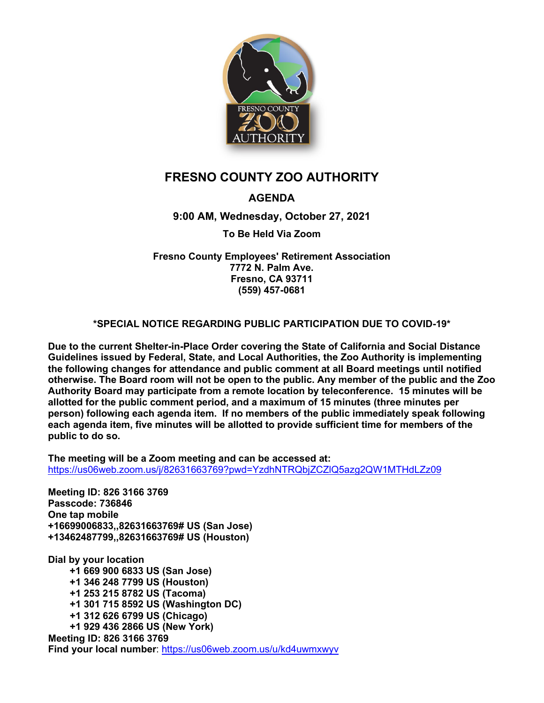

# **FRESNO COUNTY ZOO AUTHORITY**

# **AGENDA**

## **9:00 AM, Wednesday, October 27, 2021**

#### **To Be Held Via Zoom**

**Fresno County Employees' Retirement Association 7772 N. Palm Ave. Fresno, CA 93711 (559) 457-0681**

#### **\*SPECIAL NOTICE REGARDING PUBLIC PARTICIPATION DUE TO COVID-19\***

**Due to the current Shelter-in-Place Order covering the State of California and Social Distance Guidelines issued by Federal, State, and Local Authorities, the Zoo Authority is implementing the following changes for attendance and public comment at all Board meetings until notified otherwise. The Board room will not be open to the public. Any member of the public and the Zoo Authority Board may participate from a remote location by teleconference. 15 minutes will be allotted for the public comment period, and a maximum of 15 minutes (three minutes per person) following each agenda item. If no members of the public immediately speak following each agenda item, five minutes will be allotted to provide sufficient time for members of the public to do so.**

**The meeting will be a Zoom meeting and can be accessed at:**  [https://us06web.zoom.us/j/82631663769?pwd=YzdhNTRQbjZCZlQ5azg2QW1MTHdLZz09](https://gcc02.safelinks.protection.outlook.com/?url=https%3A%2F%2Fus06web.zoom.us%2Fj%2F82631663769%3Fpwd%3DYzdhNTRQbjZCZlQ5azg2QW1MTHdLZz09&data=04%7C01%7Cronalexander%40fresnocountyca.gov%7Ccb0e413f4ed24a4b51b608d9941a1ace%7C3ccce0182cd74123960d6cc1d47e3550%7C1%7C0%7C637703662130131171%7CUnknown%7CTWFpbGZsb3d8eyJWIjoiMC4wLjAwMDAiLCJQIjoiV2luMzIiLCJBTiI6Ik1haWwiLCJXVCI6Mn0%3D%7C1000&sdata=KZuTfDFqdND1lbZh6BnD6vLzUAojsISx9BSGsqNfHNk%3D&reserved=0)

**Meeting ID: 826 3166 3769 Passcode: 736846 One tap mobile +16699006833,,82631663769# US (San Jose) +13462487799,,82631663769# US (Houston)**

**Dial by your location +1 669 900 6833 US (San Jose) +1 346 248 7799 US (Houston) +1 253 215 8782 US (Tacoma) +1 301 715 8592 US (Washington DC) +1 312 626 6799 US (Chicago) +1 929 436 2866 US (New York) Meeting ID: 826 3166 3769 Find your local number**:<https://us06web.zoom.us/u/kd4uwmxwyv>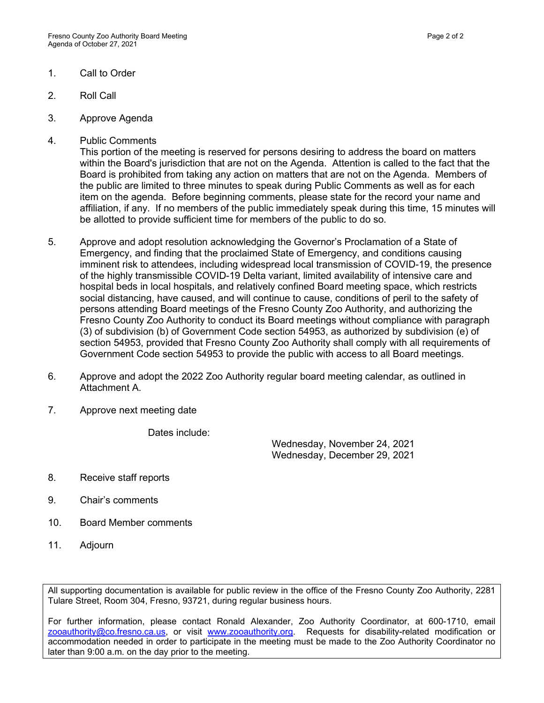- 1. Call to Order
- 2. Roll Call
- 3. Approve Agenda
- 4. Public Comments

This portion of the meeting is reserved for persons desiring to address the board on matters within the Board's jurisdiction that are not on the Agenda. Attention is called to the fact that the Board is prohibited from taking any action on matters that are not on the Agenda. Members of the public are limited to three minutes to speak during Public Comments as well as for each item on the agenda. Before beginning comments, please state for the record your name and affiliation, if any. If no members of the public immediately speak during this time, 15 minutes will be allotted to provide sufficient time for members of the public to do so.

- 5. Approve and adopt resolution acknowledging the Governor's Proclamation of a State of Emergency, and finding that the proclaimed State of Emergency, and conditions causing imminent risk to attendees, including widespread local transmission of COVID-19, the presence of the highly transmissible COVID-19 Delta variant, limited availability of intensive care and hospital beds in local hospitals, and relatively confined Board meeting space, which restricts social distancing, have caused, and will continue to cause, conditions of peril to the safety of persons attending Board meetings of the Fresno County Zoo Authority, and authorizing the Fresno County Zoo Authority to conduct its Board meetings without compliance with paragraph (3) of subdivision (b) of Government Code section 54953, as authorized by subdivision (e) of section 54953, provided that Fresno County Zoo Authority shall comply with all requirements of Government Code section 54953 to provide the public with access to all Board meetings.
- 6. Approve and adopt the 2022 Zoo Authority regular board meeting calendar, as outlined in Attachment A.
- 7. Approve next meeting date

Dates include:

Wednesday, November 24, 2021 Wednesday, December 29, 2021

- 8. Receive staff reports
- 9. Chair's comments
- 10. Board Member comments
- 11. Adjourn

All supporting documentation is available for public review in the office of the Fresno County Zoo Authority, 2281 Tulare Street, Room 304, Fresno, 93721, during regular business hours.

For further information, please contact Ronald Alexander, Zoo Authority Coordinator, at 600-1710, email [zooauthority@co.fresno.ca.us,](mailto:zooauthority@co.fresno.ca.us) or visit [www.zooauthority.org.](http://www.zooauthority.org/) Requests for disability-related modification or accommodation needed in order to participate in the meeting must be made to the Zoo Authority Coordinator no later than 9:00 a.m. on the day prior to the meeting.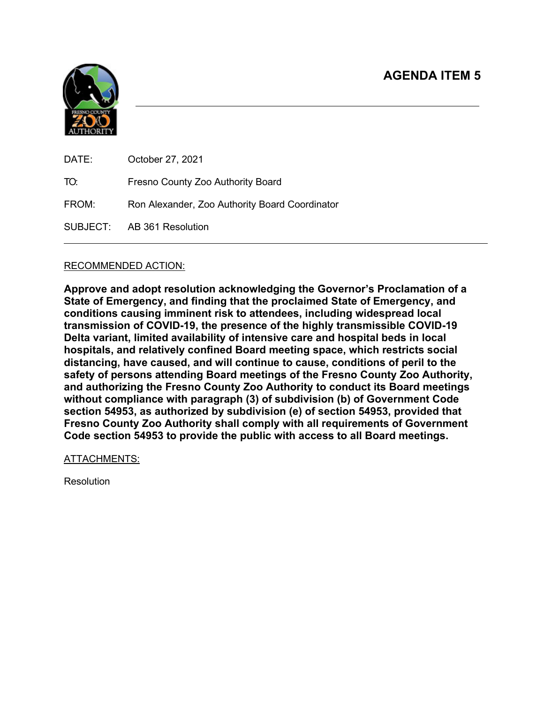

| DATE: | October 27, 2021                               |
|-------|------------------------------------------------|
| TO:   | Fresno County Zoo Authority Board              |
| FROM: | Ron Alexander, Zoo Authority Board Coordinator |
|       | SUBJECT: AB 361 Resolution                     |
|       |                                                |

## RECOMMENDED ACTION:

**Approve and adopt resolution acknowledging the Governor's Proclamation of a State of Emergency, and finding that the proclaimed State of Emergency, and conditions causing imminent risk to attendees, including widespread local transmission of COVID-19, the presence of the highly transmissible COVID-19 Delta variant, limited availability of intensive care and hospital beds in local hospitals, and relatively confined Board meeting space, which restricts social distancing, have caused, and will continue to cause, conditions of peril to the safety of persons attending Board meetings of the Fresno County Zoo Authority, and authorizing the Fresno County Zoo Authority to conduct its Board meetings without compliance with paragraph (3) of subdivision (b) of Government Code section 54953, as authorized by subdivision (e) of section 54953, provided that Fresno County Zoo Authority shall comply with all requirements of Government Code section 54953 to provide the public with access to all Board meetings.**

#### ATTACHMENTS:

Resolution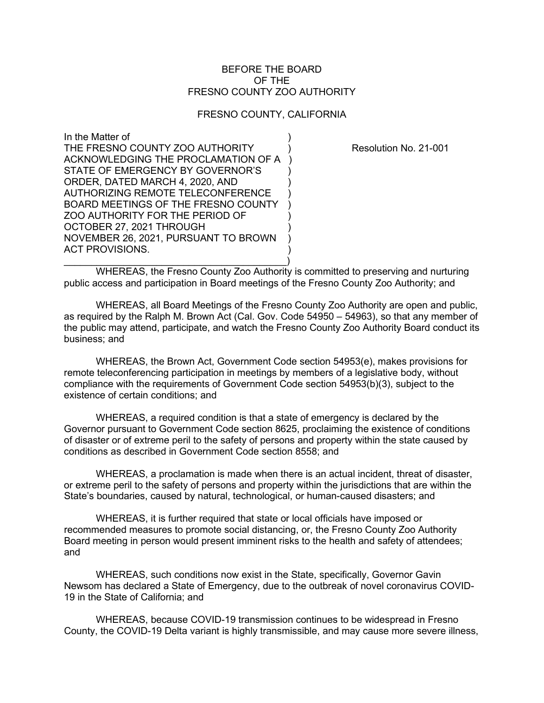#### BEFORE THE BOARD OF THE FRESNO COUNTY ZOO AUTHORITY

#### FRESNO COUNTY, CALIFORNIA

In the Matter of ) THE FRESNO COUNTY ZOO AUTHORITY ) Resolution No. 21-001 ACKNOWLEDGING THE PROCLAMATION OF A ) STATE OF EMERGENCY BY GOVERNOR'S ORDER, DATED MARCH 4, 2020, AND ) AUTHORIZING REMOTE TELECONFERENCE BOARD MEETINGS OF THE FRESNO COUNTY ZOO AUTHORITY FOR THE PERIOD OF ) OCTOBER 27, 2021 THROUGH NOVEMBER 26, 2021, PURSUANT TO BROWN ) ACT PROVISIONS.

 $\qquad \qquad \Box$ WHEREAS, the Fresno County Zoo Authority is committed to preserving and nurturing public access and participation in Board meetings of the Fresno County Zoo Authority; and

WHEREAS, all Board Meetings of the Fresno County Zoo Authority are open and public, as required by the Ralph M. Brown Act (Cal. Gov. Code 54950 – 54963), so that any member of the public may attend, participate, and watch the Fresno County Zoo Authority Board conduct its business; and

WHEREAS, the Brown Act, Government Code section 54953(e), makes provisions for remote teleconferencing participation in meetings by members of a legislative body, without compliance with the requirements of Government Code section 54953(b)(3), subject to the existence of certain conditions; and

WHEREAS, a required condition is that a state of emergency is declared by the Governor pursuant to Government Code section 8625, proclaiming the existence of conditions of disaster or of extreme peril to the safety of persons and property within the state caused by conditions as described in Government Code section 8558; and

WHEREAS, a proclamation is made when there is an actual incident, threat of disaster, or extreme peril to the safety of persons and property within the jurisdictions that are within the State's boundaries, caused by natural, technological, or human-caused disasters; and

WHEREAS, it is further required that state or local officials have imposed or recommended measures to promote social distancing, or, the Fresno County Zoo Authority Board meeting in person would present imminent risks to the health and safety of attendees; and

WHEREAS, such conditions now exist in the State, specifically, Governor Gavin Newsom has declared a State of Emergency, due to the outbreak of novel coronavirus COVID-19 in the State of California; and

WHEREAS, because COVID-19 transmission continues to be widespread in Fresno County, the COVID-19 Delta variant is highly transmissible, and may cause more severe illness,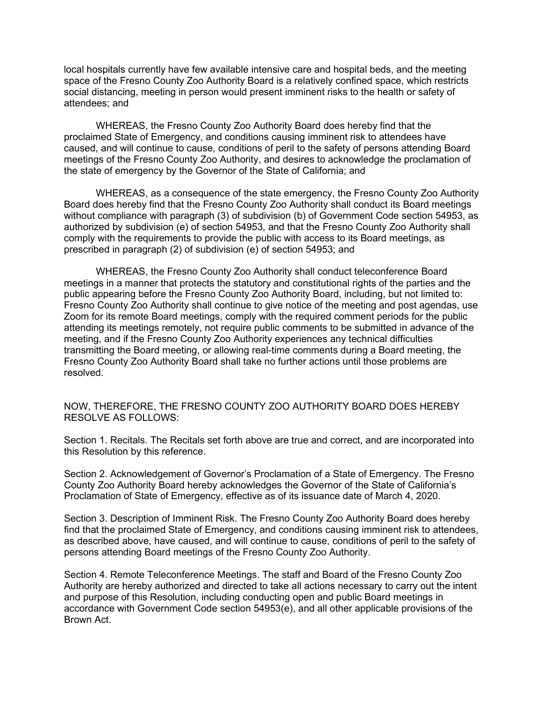local hospitals currently have few available intensive care and hospital beds, and the meeting space of the Fresno County Zoo Authority Board is a relatively confined space, which restricts social distancing, meeting in person would present imminent risks to the health or safety of attendees; and

WHEREAS, the Fresno County Zoo Authority Board does hereby find that the proclaimed State of Emergency, and conditions causing imminent risk to attendees have caused, and will continue to cause, conditions of peril to the safety of persons attending Board meetings of the Fresno County Zoo Authority, and desires to acknowledge the proclamation of the state of emergency by the Governor of the State of California; and

WHEREAS, as a consequence of the state emergency, the Fresno County Zoo Authority Board does hereby find that the Fresno County Zoo Authority shall conduct its Board meetings without compliance with paragraph (3) of subdivision (b) of Government Code section 54953, as authorized by subdivision (e) of section 54953, and that the Fresno County Zoo Authority shall comply with the requirements to provide the public with access to its Board meetings, as prescribed in paragraph (2) of subdivision (e) of section 54953; and

WHEREAS, the Fresno County Zoo Authority shall conduct teleconference Board meetings in a manner that protects the statutory and constitutional rights of the parties and the public appearing before the Fresno County Zoo Authority Board, including, but not limited to: Fresno County Zoo Authority shall continue to give notice of the meeting and post agendas, use Zoom for its remote Board meetings, comply with the required comment periods for the public attending its meetings remotely, not require public comments to be submitted in advance of the meeting, and if the Fresno County Zoo Authority experiences any technical difficulties transmitting the Board meeting, or allowing real-time comments during a Board meeting, the Fresno County Zoo Authority Board shall take no further actions until those problems are resolved.

NOW, THEREFORE, THE FRESNO COUNTY ZOO AUTHORITY BOARD DOES HEREBY RESOLVE AS FOLLOWS:

Section 1. Recitals. The Recitals set forth above are true and correct, and are incorporated into this Resolution by this reference.

Section 2. Acknowledgement of Governor's Proclamation of a State of Emergency. The Fresno County Zoo Authority Board hereby acknowledges the Governor of the State of California's Proclamation of State of Emergency, effective as of its issuance date of March 4, 2020.

Section 3. Description of Imminent Risk. The Fresno County Zoo Authority Board does hereby find that the proclaimed State of Emergency, and conditions causing imminent risk to attendees, as described above, have caused, and will continue to cause, conditions of peril to the safety of persons attending Board meetings of the Fresno County Zoo Authority.

Section 4. Remote Teleconference Meetings. The staff and Board of the Fresno County Zoo Authority are hereby authorized and directed to take all actions necessary to carry out the intent and purpose of this Resolution, including conducting open and public Board meetings in accordance with Government Code section 54953(e), and all other applicable provisions of the Brown Act.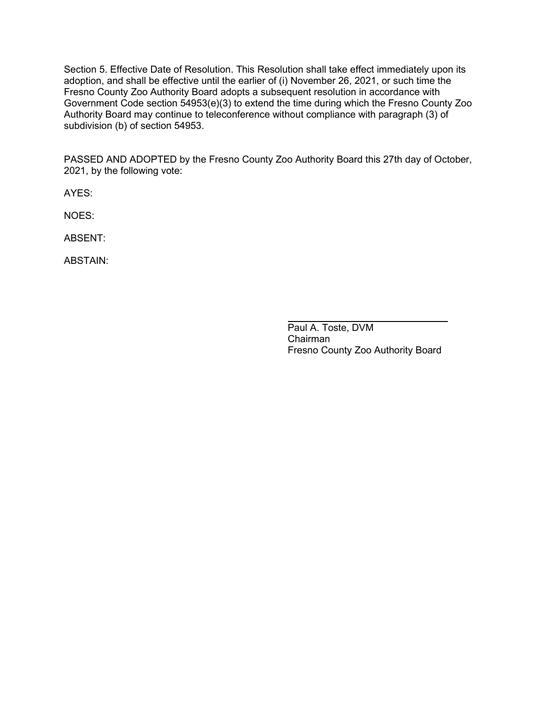Section 5. Effective Date of Resolution. This Resolution shall take effect immediately upon its adoption, and shall be effective until the earlier of (i) November 26, 2021, or such time the Fresno County Zoo Authority Board adopts a subsequent resolution in accordance with Government Code section 54953(e)(3) to extend the time during which the Fresno County Zoo Authority Board may continue to teleconference without compliance with paragraph (3) of subdivision (b) of section 54953.

PASSED AND ADOPTED by the Fresno County Zoo Authority Board this 27th day of October, 2021, by the following vote:

AYES:

NOES:

ABSENT:

ABSTAIN:

Paul A. Toste, DVM Chairman Fresno County Zoo Authority Board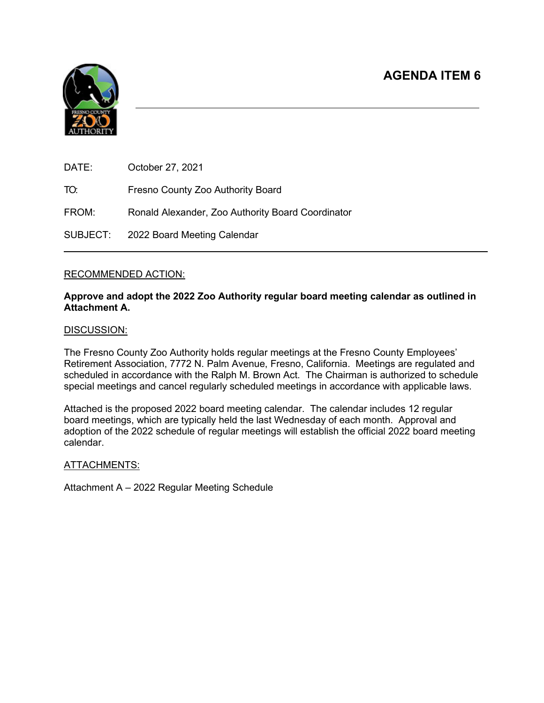

| DATE:    | October 27, 2021                                  |
|----------|---------------------------------------------------|
| TO:      | Fresno County Zoo Authority Board                 |
| FROM:    | Ronald Alexander, Zoo Authority Board Coordinator |
| SUBJECT: | 2022 Board Meeting Calendar                       |

#### RECOMMENDED ACTION:

#### **Approve and adopt the 2022 Zoo Authority regular board meeting calendar as outlined in Attachment A.**

#### DISCUSSION:

The Fresno County Zoo Authority holds regular meetings at the Fresno County Employees' Retirement Association, 7772 N. Palm Avenue, Fresno, California. Meetings are regulated and scheduled in accordance with the Ralph M. Brown Act. The Chairman is authorized to schedule special meetings and cancel regularly scheduled meetings in accordance with applicable laws.

Attached is the proposed 2022 board meeting calendar. The calendar includes 12 regular board meetings, which are typically held the last Wednesday of each month. Approval and adoption of the 2022 schedule of regular meetings will establish the official 2022 board meeting calendar.

#### ATTACHMENTS:

Attachment A – 2022 Regular Meeting Schedule